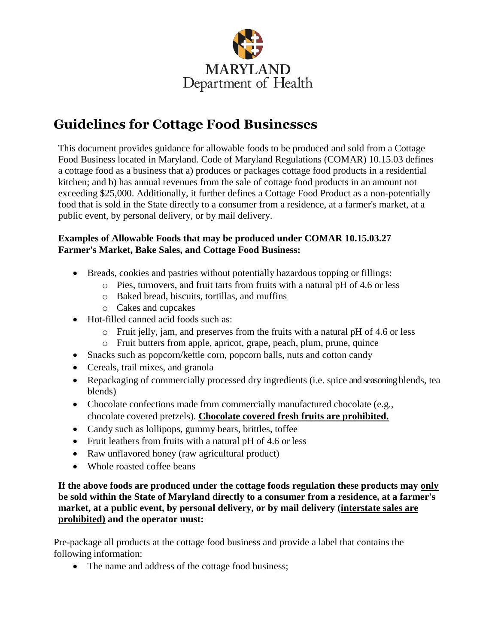

# **Guidelines for Cottage Food Businesses**

This document provides guidance for allowable foods to be produced and sold from a Cottage Food Business located in Maryland. Code of Maryland Regulations (COMAR) 10.15.03 defines a cottage food as a business that a) produces or packages cottage food products in a residential kitchen; and b) has annual revenues from the sale of cottage food products in an amount not exceeding \$25,000. Additionally, it further defines a Cottage Food Product as a non-potentially food that is sold in the State directly to a consumer from a residence, at a farmer's market, at a public event, by personal delivery, or by mail delivery.

## **Examples of Allowable Foods that may be produced under COMAR 10.15.03.27 Farmer's Market, Bake Sales, and Cottage Food Business:**

- Breads, cookies and pastries without potentially hazardous topping or fillings:
	- o Pies, turnovers, and fruit tarts from fruits with a natural pH of 4.6 or less
	- o Baked bread, biscuits, tortillas, and muffins
	- o Cakes and cupcakes
- Hot-filled canned acid foods such as:
	- o Fruit jelly, jam, and preserves from the fruits with a natural pH of 4.6 or less
	- o Fruit butters from apple, apricot, grape, peach, plum, prune, quince
- Snacks such as popcorn/kettle corn, popcorn balls, nuts and cotton candy
- Cereals, trail mixes, and granola
- Repackaging of commercially processed dry ingredients (i.e. spice and seasoning blends, tea blends)
- Chocolate confections made from commercially manufactured chocolate (e.g., chocolate covered pretzels). **Chocolate covered fresh fruits are prohibited.**
- Candy such as lollipops, gummy bears, brittles, toffee
- Fruit leathers from fruits with a natural pH of 4.6 or less
- Raw unflavored honey (raw agricultural product)
- Whole roasted coffee beans

**If the above foods are produced under the cottage foods regulation these products may only be sold within the State of Maryland directly to a consumer from a residence, at a farmer's market, at a public event, by personal delivery, or by mail delivery (interstate sales are prohibited) and the operator must:**

Pre-package all products at the cottage food business and provide a label that contains the following information:

• The name and address of the cottage food business;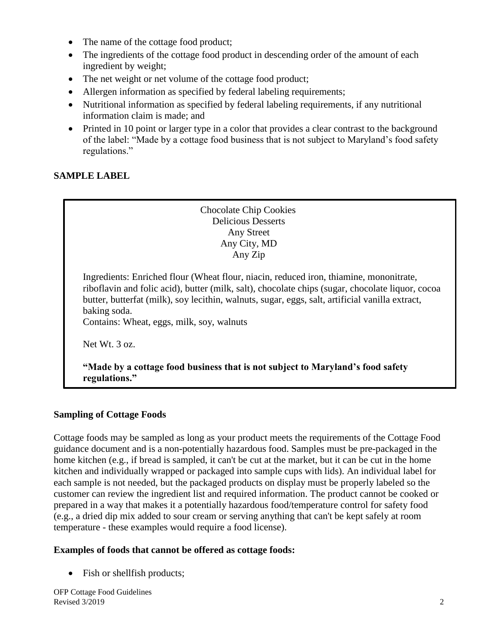- The name of the cottage food product;
- The ingredients of the cottage food product in descending order of the amount of each ingredient by weight;
- The net weight or net volume of the cottage food product;
- Allergen information as specified by federal labeling requirements;
- Nutritional information as specified by federal labeling requirements, if any nutritional information claim is made; and
- Printed in 10 point or larger type in a color that provides a clear contrast to the background of the label: "Made by a cottage food business that is not subject to Maryland's food safety regulations."

## **SAMPLE LABEL**

Chocolate Chip Cookies Delicious Desserts Any Street Any City, MD Any Zip

Ingredients: Enriched flour (Wheat flour, niacin, reduced iron, thiamine, mononitrate, riboflavin and folic acid), butter (milk, salt), chocolate chips (sugar, chocolate liquor, cocoa butter, butterfat (milk), soy lecithin, walnuts, sugar, eggs, salt, artificial vanilla extract, baking soda.

Contains: Wheat, eggs, milk, soy, walnuts

Net Wt. 3 oz.

**"Made by a cottage food business that is not subject to Maryland's food safety regulations."**

### **Sampling of Cottage Foods**

Cottage foods may be sampled as long as your product meets the requirements of the Cottage Food guidance document and is a non-potentially hazardous food. Samples must be pre-packaged in the home kitchen (e.g., if bread is sampled, it can't be cut at the market, but it can be cut in the home kitchen and individually wrapped or packaged into sample cups with lids). An individual label for each sample is not needed, but the packaged products on display must be properly labeled so the customer can review the ingredient list and required information. The product cannot be cooked or prepared in a way that makes it a potentially hazardous food/temperature control for safety food (e.g., a dried dip mix added to sour cream or serving anything that can't be kept safely at room temperature - these examples would require a food license).

### **Examples of foods that cannot be offered as cottage foods:**

• Fish or shell fish products;

OFP Cottage Food Guidelines Revised  $3/2019$  2